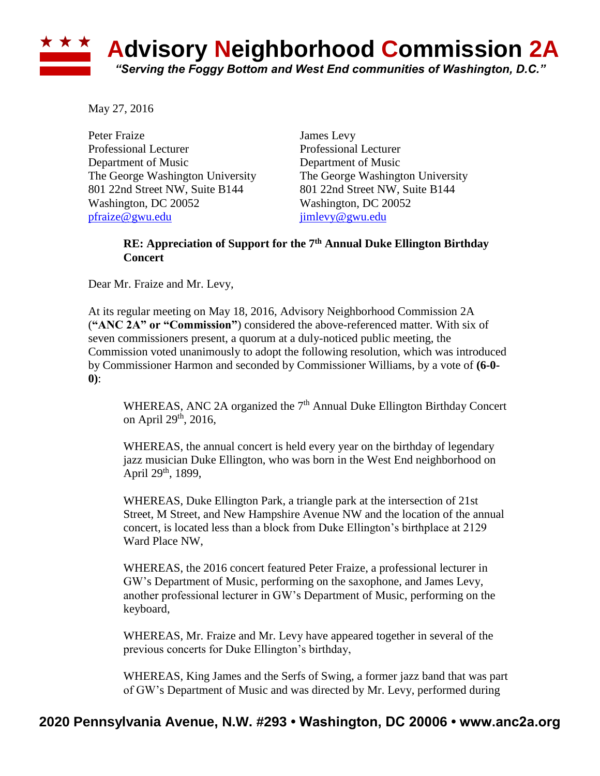## ★ ★ ★ **Advisory Neighborhood Commission 2A** *"Serving the Foggy Bottom and West End communities of Washington, D.C."*

May 27, 2016

Peter Fraize James Levy Professional Lecturer Professional Lecturer Department of Music Department of Music 801 22nd Street NW, Suite B144 801 22nd Street NW, Suite B144 Washington, DC 20052 Washington, DC 20052 [pfraize@gwu.edu](mailto:pfraize@gwu.edu) [jimlevy@gwu.edu](mailto:jimlevy@gwu.edu)

The George Washington University The George Washington University

## **RE: Appreciation of Support for the 7th Annual Duke Ellington Birthday Concert**

Dear Mr. Fraize and Mr. Levy,

At its regular meeting on May 18, 2016, Advisory Neighborhood Commission 2A (**"ANC 2A" or "Commission"**) considered the above-referenced matter. With six of seven commissioners present, a quorum at a duly-noticed public meeting, the Commission voted unanimously to adopt the following resolution, which was introduced by Commissioner Harmon and seconded by Commissioner Williams, by a vote of **(6-0- 0)**:

WHEREAS, ANC 2A organized the  $7<sup>th</sup>$  Annual Duke Ellington Birthday Concert on April 29<sup>th</sup>, 2016,

WHEREAS, the annual concert is held every year on the birthday of legendary jazz musician Duke Ellington, who was born in the West End neighborhood on April 29<sup>th</sup>, 1899,

WHEREAS, Duke Ellington Park, a triangle park at the intersection of 21st Street, M Street, and New Hampshire Avenue NW and the location of the annual concert, is located less than a block from Duke Ellington's birthplace at 2129 Ward Place NW,

WHEREAS, the 2016 concert featured Peter Fraize, a professional lecturer in GW's Department of Music, performing on the saxophone, and James Levy, another professional lecturer in GW's Department of Music, performing on the keyboard,

WHEREAS, Mr. Fraize and Mr. Levy have appeared together in several of the previous concerts for Duke Ellington's birthday,

WHEREAS, King James and the Serfs of Swing, a former jazz band that was part of GW's Department of Music and was directed by Mr. Levy, performed during

## **2020 Pennsylvania Avenue, N.W. #293 • Washington, DC 20006 • www.anc2a.org**